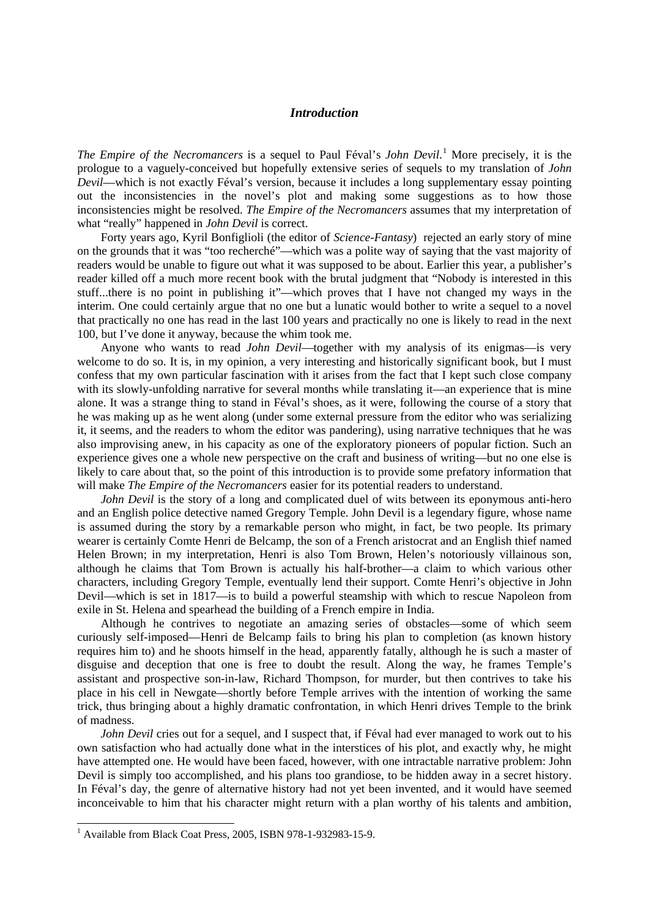## *Introduction*

*The Empire of the Necromancers* is a sequel to Paul Féval's *John Devil*. [1](#page-0-0) More precisely, it is the prologue to a vaguely-conceived but hopefully extensive series of sequels to my translation of *John Devil*—which is not exactly Féval's version, because it includes a long supplementary essay pointing out the inconsistencies in the novel's plot and making some suggestions as to how those inconsistencies might be resolved. *The Empire of the Necromancers* assumes that my interpretation of what "really" happened in *John Devil* is correct.

Forty years ago, Kyril Bonfiglioli (the editor of *Science-Fantasy*) rejected an early story of mine on the grounds that it was "too recherché"—which was a polite way of saying that the vast majority of readers would be unable to figure out what it was supposed to be about. Earlier this year, a publisher's reader killed off a much more recent book with the brutal judgment that "Nobody is interested in this stuff...there is no point in publishing it"—which proves that I have not changed my ways in the interim. One could certainly argue that no one but a lunatic would bother to write a sequel to a novel that practically no one has read in the last 100 years and practically no one is likely to read in the next 100, but I've done it anyway, because the whim took me.

Anyone who wants to read *John Devil*—together with my analysis of its enigmas—is very welcome to do so. It is, in my opinion, a very interesting and historically significant book, but I must confess that my own particular fascination with it arises from the fact that I kept such close company with its slowly-unfolding narrative for several months while translating it—an experience that is mine alone. It was a strange thing to stand in Féval's shoes, as it were, following the course of a story that he was making up as he went along (under some external pressure from the editor who was serializing it, it seems, and the readers to whom the editor was pandering), using narrative techniques that he was also improvising anew, in his capacity as one of the exploratory pioneers of popular fiction. Such an experience gives one a whole new perspective on the craft and business of writing—but no one else is likely to care about that, so the point of this introduction is to provide some prefatory information that will make *The Empire of the Necromancers* easier for its potential readers to understand.

*John Devil* is the story of a long and complicated duel of wits between its eponymous anti-hero and an English police detective named Gregory Temple. John Devil is a legendary figure, whose name is assumed during the story by a remarkable person who might, in fact, be two people. Its primary wearer is certainly Comte Henri de Belcamp, the son of a French aristocrat and an English thief named Helen Brown; in my interpretation, Henri is also Tom Brown, Helen's notoriously villainous son, although he claims that Tom Brown is actually his half-brother—a claim to which various other characters, including Gregory Temple, eventually lend their support. Comte Henri's objective in John Devil—which is set in 1817—is to build a powerful steamship with which to rescue Napoleon from exile in St. Helena and spearhead the building of a French empire in India.

Although he contrives to negotiate an amazing series of obstacles—some of which seem curiously self-imposed—Henri de Belcamp fails to bring his plan to completion (as known history requires him to) and he shoots himself in the head, apparently fatally, although he is such a master of disguise and deception that one is free to doubt the result. Along the way, he frames Temple's assistant and prospective son-in-law, Richard Thompson, for murder, but then contrives to take his place in his cell in Newgate—shortly before Temple arrives with the intention of working the same trick, thus bringing about a highly dramatic confrontation, in which Henri drives Temple to the brink of madness.

*John Devil* cries out for a sequel, and I suspect that, if Féval had ever managed to work out to his own satisfaction who had actually done what in the interstices of his plot, and exactly why, he might have attempted one. He would have been faced, however, with one intractable narrative problem: John Devil is simply too accomplished, and his plans too grandiose, to be hidden away in a secret history. In Féval's day, the genre of alternative history had not yet been invented, and it would have seemed inconceivable to him that his character might return with a plan worthy of his talents and ambition,

<span id="page-0-0"></span> <sup>1</sup> Available from Black Coat Press, 2005, ISBN 978-1-932983-15-9.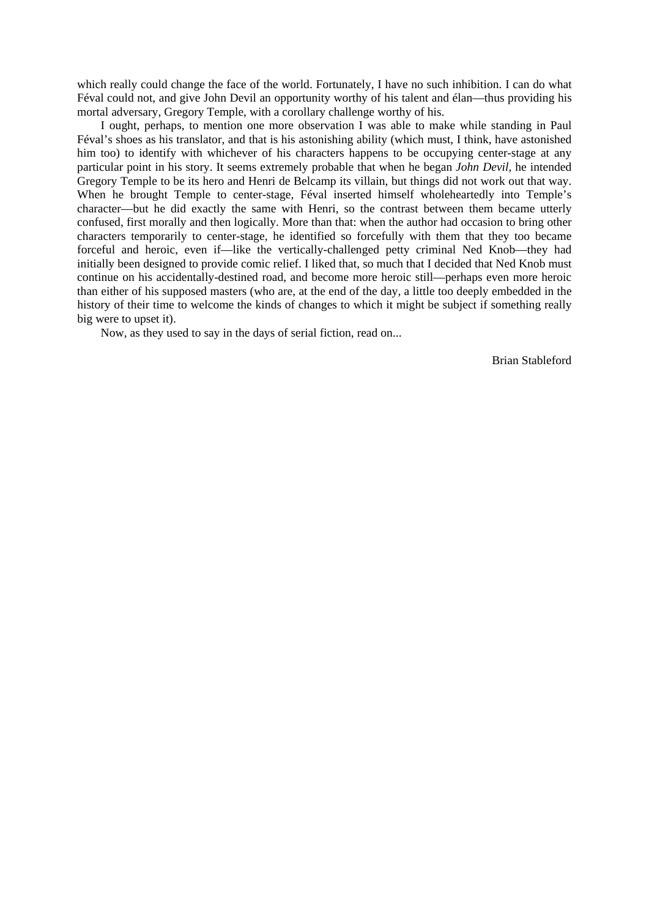which really could change the face of the world. Fortunately, I have no such inhibition. I can do what Féval could not, and give John Devil an opportunity worthy of his talent and élan—thus providing his mortal adversary, Gregory Temple, with a corollary challenge worthy of his.

I ought, perhaps, to mention one more observation I was able to make while standing in Paul Féval's shoes as his translator, and that is his astonishing ability (which must, I think, have astonished him too) to identify with whichever of his characters happens to be occupying center-stage at any particular point in his story. It seems extremely probable that when he began *John Devil*, he intended Gregory Temple to be its hero and Henri de Belcamp its villain, but things did not work out that way. When he brought Temple to center-stage, Féval inserted himself wholeheartedly into Temple's character—but he did exactly the same with Henri, so the contrast between them became utterly confused, first morally and then logically. More than that: when the author had occasion to bring other characters temporarily to center-stage, he identified so forcefully with them that they too became forceful and heroic, even if—like the vertically-challenged petty criminal Ned Knob—they had initially been designed to provide comic relief. I liked that, so much that I decided that Ned Knob must continue on his accidentally-destined road, and become more heroic still—perhaps even more heroic than either of his supposed masters (who are, at the end of the day, a little too deeply embedded in the history of their time to welcome the kinds of changes to which it might be subject if something really big were to upset it).

Now, as they used to say in the days of serial fiction, read on...

Brian Stableford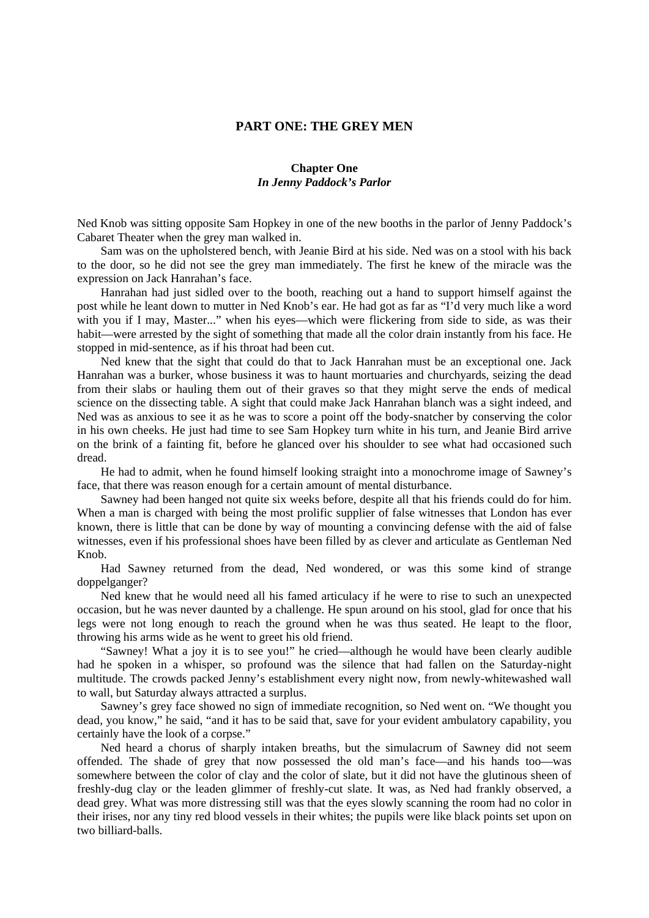## **PART ONE: THE GREY MEN**

## **Chapter One** *In Jenny Paddock's Parlor*

Ned Knob was sitting opposite Sam Hopkey in one of the new booths in the parlor of Jenny Paddock's Cabaret Theater when the grey man walked in.

Sam was on the upholstered bench, with Jeanie Bird at his side. Ned was on a stool with his back to the door, so he did not see the grey man immediately. The first he knew of the miracle was the expression on Jack Hanrahan's face.

Hanrahan had just sidled over to the booth, reaching out a hand to support himself against the post while he leant down to mutter in Ned Knob's ear. He had got as far as "I'd very much like a word with you if I may, Master..." when his eyes—which were flickering from side to side, as was their habit—were arrested by the sight of something that made all the color drain instantly from his face. He stopped in mid-sentence, as if his throat had been cut.

Ned knew that the sight that could do that to Jack Hanrahan must be an exceptional one. Jack Hanrahan was a burker, whose business it was to haunt mortuaries and churchyards, seizing the dead from their slabs or hauling them out of their graves so that they might serve the ends of medical science on the dissecting table. A sight that could make Jack Hanrahan blanch was a sight indeed, and Ned was as anxious to see it as he was to score a point off the body-snatcher by conserving the color in his own cheeks. He just had time to see Sam Hopkey turn white in his turn, and Jeanie Bird arrive on the brink of a fainting fit, before he glanced over his shoulder to see what had occasioned such dread.

He had to admit, when he found himself looking straight into a monochrome image of Sawney's face, that there was reason enough for a certain amount of mental disturbance.

Sawney had been hanged not quite six weeks before, despite all that his friends could do for him. When a man is charged with being the most prolific supplier of false witnesses that London has ever known, there is little that can be done by way of mounting a convincing defense with the aid of false witnesses, even if his professional shoes have been filled by as clever and articulate as Gentleman Ned Knob.

Had Sawney returned from the dead, Ned wondered, or was this some kind of strange doppelganger?

Ned knew that he would need all his famed articulacy if he were to rise to such an unexpected occasion, but he was never daunted by a challenge. He spun around on his stool, glad for once that his legs were not long enough to reach the ground when he was thus seated. He leapt to the floor, throwing his arms wide as he went to greet his old friend.

"Sawney! What a joy it is to see you!" he cried—although he would have been clearly audible had he spoken in a whisper, so profound was the silence that had fallen on the Saturday-night multitude. The crowds packed Jenny's establishment every night now, from newly-whitewashed wall to wall, but Saturday always attracted a surplus.

Sawney's grey face showed no sign of immediate recognition, so Ned went on. "We thought you dead, you know," he said, "and it has to be said that, save for your evident ambulatory capability, you certainly have the look of a corpse."

Ned heard a chorus of sharply intaken breaths, but the simulacrum of Sawney did not seem offended. The shade of grey that now possessed the old man's face—and his hands too—was somewhere between the color of clay and the color of slate, but it did not have the glutinous sheen of freshly-dug clay or the leaden glimmer of freshly-cut slate. It was, as Ned had frankly observed, a dead grey. What was more distressing still was that the eyes slowly scanning the room had no color in their irises, nor any tiny red blood vessels in their whites; the pupils were like black points set upon on two billiard-balls.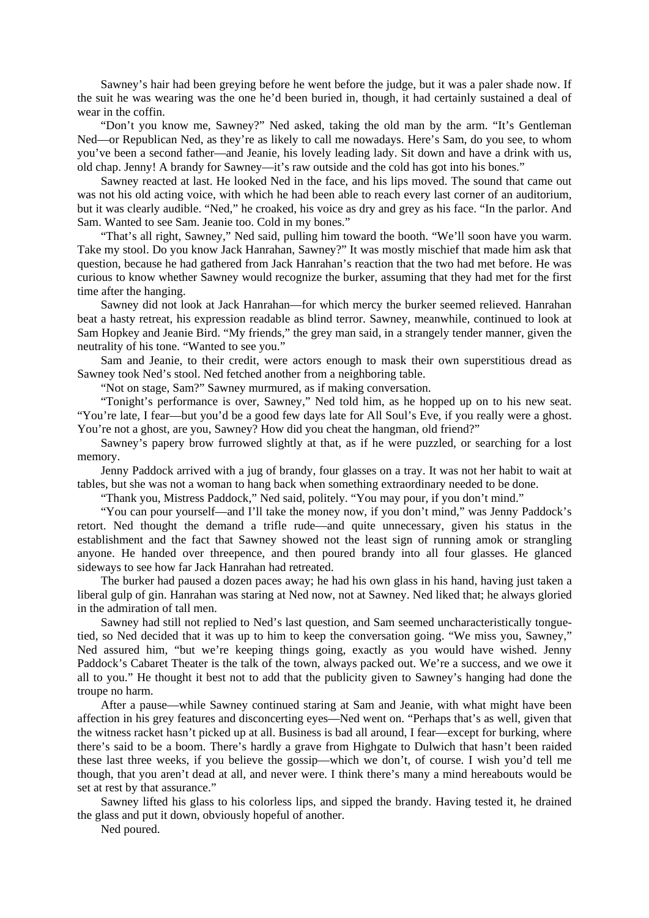Sawney's hair had been greying before he went before the judge, but it was a paler shade now. If the suit he was wearing was the one he'd been buried in, though, it had certainly sustained a deal of wear in the coffin.

"Don't you know me, Sawney?" Ned asked, taking the old man by the arm. "It's Gentleman Ned—or Republican Ned, as they're as likely to call me nowadays. Here's Sam, do you see, to whom you've been a second father—and Jeanie, his lovely leading lady. Sit down and have a drink with us, old chap. Jenny! A brandy for Sawney—it's raw outside and the cold has got into his bones."

Sawney reacted at last. He looked Ned in the face, and his lips moved. The sound that came out was not his old acting voice, with which he had been able to reach every last corner of an auditorium, but it was clearly audible. "Ned," he croaked, his voice as dry and grey as his face. "In the parlor. And Sam. Wanted to see Sam. Jeanie too. Cold in my bones."

"That's all right, Sawney," Ned said, pulling him toward the booth. "We'll soon have you warm. Take my stool. Do you know Jack Hanrahan, Sawney?" It was mostly mischief that made him ask that question, because he had gathered from Jack Hanrahan's reaction that the two had met before. He was curious to know whether Sawney would recognize the burker, assuming that they had met for the first time after the hanging.

Sawney did not look at Jack Hanrahan—for which mercy the burker seemed relieved. Hanrahan beat a hasty retreat, his expression readable as blind terror. Sawney, meanwhile, continued to look at Sam Hopkey and Jeanie Bird. "My friends," the grey man said, in a strangely tender manner, given the neutrality of his tone. "Wanted to see you."

Sam and Jeanie, to their credit, were actors enough to mask their own superstitious dread as Sawney took Ned's stool. Ned fetched another from a neighboring table.

"Not on stage, Sam?" Sawney murmured, as if making conversation.

"Tonight's performance is over, Sawney," Ned told him, as he hopped up on to his new seat. "You're late, I fear—but you'd be a good few days late for All Soul's Eve, if you really were a ghost. You're not a ghost, are you, Sawney? How did you cheat the hangman, old friend?"

Sawney's papery brow furrowed slightly at that, as if he were puzzled, or searching for a lost memory.

Jenny Paddock arrived with a jug of brandy, four glasses on a tray. It was not her habit to wait at tables, but she was not a woman to hang back when something extraordinary needed to be done.

"Thank you, Mistress Paddock," Ned said, politely. "You may pour, if you don't mind."

"You can pour yourself—and I'll take the money now, if you don't mind," was Jenny Paddock's retort. Ned thought the demand a trifle rude—and quite unnecessary, given his status in the establishment and the fact that Sawney showed not the least sign of running amok or strangling anyone. He handed over threepence, and then poured brandy into all four glasses. He glanced sideways to see how far Jack Hanrahan had retreated.

The burker had paused a dozen paces away; he had his own glass in his hand, having just taken a liberal gulp of gin. Hanrahan was staring at Ned now, not at Sawney. Ned liked that; he always gloried in the admiration of tall men.

Sawney had still not replied to Ned's last question, and Sam seemed uncharacteristically tonguetied, so Ned decided that it was up to him to keep the conversation going. "We miss you, Sawney," Ned assured him, "but we're keeping things going, exactly as you would have wished. Jenny Paddock's Cabaret Theater is the talk of the town, always packed out. We're a success, and we owe it all to you." He thought it best not to add that the publicity given to Sawney's hanging had done the troupe no harm.

After a pause—while Sawney continued staring at Sam and Jeanie, with what might have been affection in his grey features and disconcerting eyes—Ned went on. "Perhaps that's as well, given that the witness racket hasn't picked up at all. Business is bad all around, I fear—except for burking, where there's said to be a boom. There's hardly a grave from Highgate to Dulwich that hasn't been raided these last three weeks, if you believe the gossip—which we don't, of course. I wish you'd tell me though, that you aren't dead at all, and never were. I think there's many a mind hereabouts would be set at rest by that assurance."

Sawney lifted his glass to his colorless lips, and sipped the brandy. Having tested it, he drained the glass and put it down, obviously hopeful of another.

Ned poured.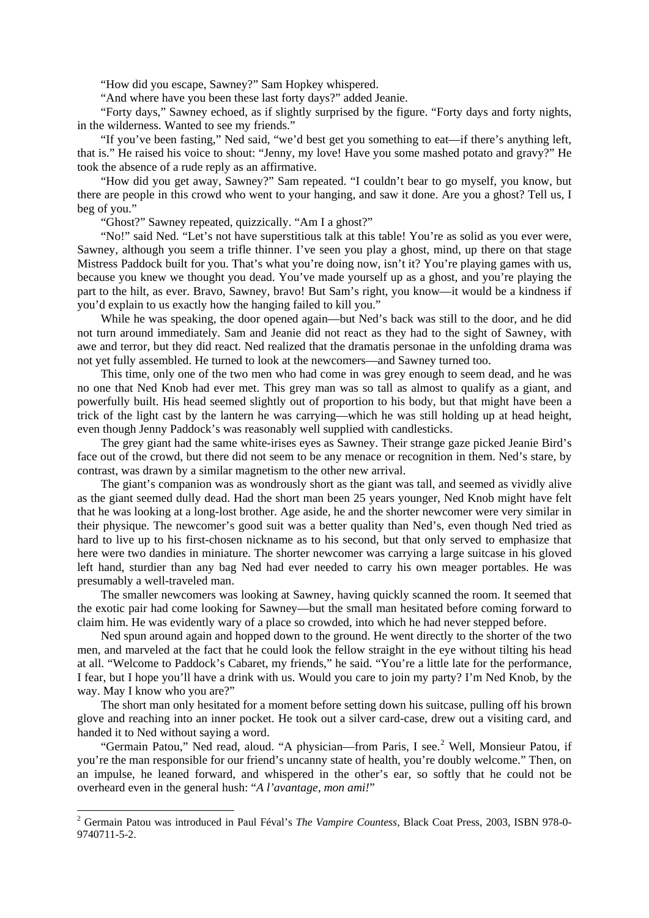"How did you escape, Sawney?" Sam Hopkey whispered.

"And where have you been these last forty days?" added Jeanie.

"Forty days," Sawney echoed, as if slightly surprised by the figure. "Forty days and forty nights, in the wilderness. Wanted to see my friends."

"If you've been fasting," Ned said, "we'd best get you something to eat—if there's anything left, that is." He raised his voice to shout: "Jenny, my love! Have you some mashed potato and gravy?" He took the absence of a rude reply as an affirmative.

"How did you get away, Sawney?" Sam repeated. "I couldn't bear to go myself, you know, but there are people in this crowd who went to your hanging, and saw it done. Are you a ghost? Tell us, I beg of you."

"Ghost?" Sawney repeated, quizzically. "Am I a ghost?"

"No!" said Ned. "Let's not have superstitious talk at this table! You're as solid as you ever were, Sawney, although you seem a trifle thinner. I've seen you play a ghost, mind, up there on that stage Mistress Paddock built for you. That's what you're doing now, isn't it? You're playing games with us, because you knew we thought you dead. You've made yourself up as a ghost, and you're playing the part to the hilt, as ever. Bravo, Sawney, bravo! But Sam's right, you know—it would be a kindness if you'd explain to us exactly how the hanging failed to kill you."

While he was speaking, the door opened again—but Ned's back was still to the door, and he did not turn around immediately. Sam and Jeanie did not react as they had to the sight of Sawney, with awe and terror, but they did react. Ned realized that the dramatis personae in the unfolding drama was not yet fully assembled. He turned to look at the newcomers—and Sawney turned too.

This time, only one of the two men who had come in was grey enough to seem dead, and he was no one that Ned Knob had ever met. This grey man was so tall as almost to qualify as a giant, and powerfully built. His head seemed slightly out of proportion to his body, but that might have been a trick of the light cast by the lantern he was carrying—which he was still holding up at head height, even though Jenny Paddock's was reasonably well supplied with candlesticks.

The grey giant had the same white-irises eyes as Sawney. Their strange gaze picked Jeanie Bird's face out of the crowd, but there did not seem to be any menace or recognition in them. Ned's stare, by contrast, was drawn by a similar magnetism to the other new arrival.

The giant's companion was as wondrously short as the giant was tall, and seemed as vividly alive as the giant seemed dully dead. Had the short man been 25 years younger, Ned Knob might have felt that he was looking at a long-lost brother. Age aside, he and the shorter newcomer were very similar in their physique. The newcomer's good suit was a better quality than Ned's, even though Ned tried as hard to live up to his first-chosen nickname as to his second, but that only served to emphasize that here were two dandies in miniature. The shorter newcomer was carrying a large suitcase in his gloved left hand, sturdier than any bag Ned had ever needed to carry his own meager portables. He was presumably a well-traveled man.

The smaller newcomers was looking at Sawney, having quickly scanned the room. It seemed that the exotic pair had come looking for Sawney—but the small man hesitated before coming forward to claim him. He was evidently wary of a place so crowded, into which he had never stepped before.

Ned spun around again and hopped down to the ground. He went directly to the shorter of the two men, and marveled at the fact that he could look the fellow straight in the eye without tilting his head at all. "Welcome to Paddock's Cabaret, my friends," he said. "You're a little late for the performance, I fear, but I hope you'll have a drink with us. Would you care to join my party? I'm Ned Knob, by the way. May I know who you are?"

The short man only hesitated for a moment before setting down his suitcase, pulling off his brown glove and reaching into an inner pocket. He took out a silver card-case, drew out a visiting card, and handed it to Ned without saying a word.

"Germain Patou," Ned read, aloud. "A physician—from Paris, I see.<sup>[2](#page-4-0)</sup> Well, Monsieur Patou, if you're the man responsible for our friend's uncanny state of health, you're doubly welcome." Then, on an impulse, he leaned forward, and whispered in the other's ear, so softly that he could not be overheard even in the general hush: "*A l'avantage, mon ami!*"

<span id="page-4-0"></span> <sup>2</sup> Germain Patou was introduced in Paul Féval's *The Vampire Countess*, Black Coat Press, 2003, ISBN 978-0- 9740711-5-2.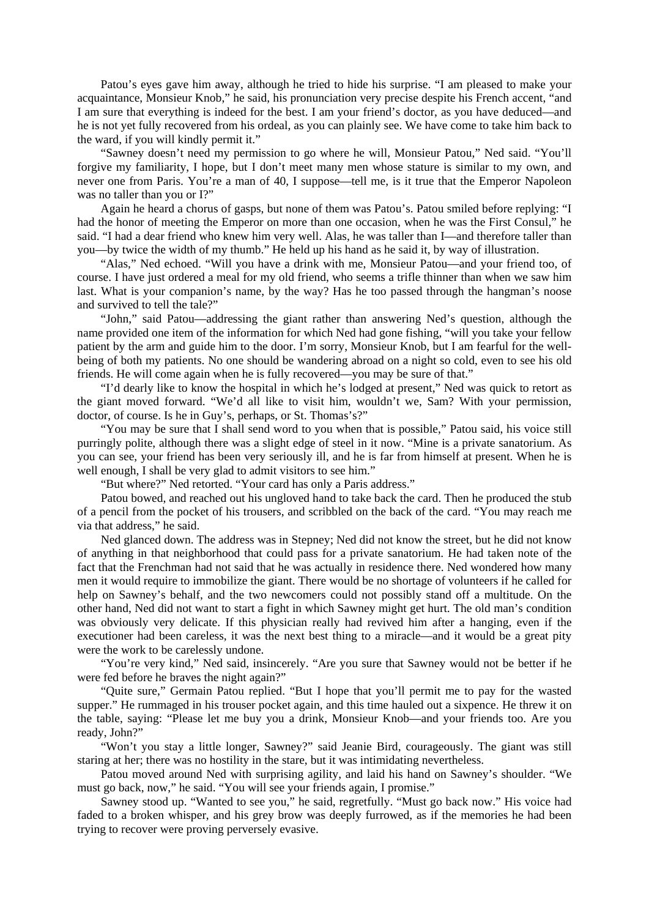Patou's eyes gave him away, although he tried to hide his surprise. "I am pleased to make your acquaintance, Monsieur Knob," he said, his pronunciation very precise despite his French accent, "and I am sure that everything is indeed for the best. I am your friend's doctor, as you have deduced—and he is not yet fully recovered from his ordeal, as you can plainly see. We have come to take him back to the ward, if you will kindly permit it."

"Sawney doesn't need my permission to go where he will, Monsieur Patou," Ned said. "You'll forgive my familiarity, I hope, but I don't meet many men whose stature is similar to my own, and never one from Paris. You're a man of 40, I suppose—tell me, is it true that the Emperor Napoleon was no taller than you or I?"

Again he heard a chorus of gasps, but none of them was Patou's. Patou smiled before replying: "I had the honor of meeting the Emperor on more than one occasion, when he was the First Consul," he said. "I had a dear friend who knew him very well. Alas, he was taller than I—and therefore taller than you—by twice the width of my thumb." He held up his hand as he said it, by way of illustration.

"Alas," Ned echoed. "Will you have a drink with me, Monsieur Patou—and your friend too, of course. I have just ordered a meal for my old friend, who seems a trifle thinner than when we saw him last. What is your companion's name, by the way? Has he too passed through the hangman's noose and survived to tell the tale?"

"John," said Patou—addressing the giant rather than answering Ned's question, although the name provided one item of the information for which Ned had gone fishing, "will you take your fellow patient by the arm and guide him to the door. I'm sorry, Monsieur Knob, but I am fearful for the wellbeing of both my patients. No one should be wandering abroad on a night so cold, even to see his old friends. He will come again when he is fully recovered—you may be sure of that."

"I'd dearly like to know the hospital in which he's lodged at present," Ned was quick to retort as the giant moved forward. "We'd all like to visit him, wouldn't we, Sam? With your permission, doctor, of course. Is he in Guy's, perhaps, or St. Thomas's?"

"You may be sure that I shall send word to you when that is possible," Patou said, his voice still purringly polite, although there was a slight edge of steel in it now. "Mine is a private sanatorium. As you can see, your friend has been very seriously ill, and he is far from himself at present. When he is well enough, I shall be very glad to admit visitors to see him."

"But where?" Ned retorted. "Your card has only a Paris address."

Patou bowed, and reached out his ungloved hand to take back the card. Then he produced the stub of a pencil from the pocket of his trousers, and scribbled on the back of the card. "You may reach me via that address," he said.

Ned glanced down. The address was in Stepney; Ned did not know the street, but he did not know of anything in that neighborhood that could pass for a private sanatorium. He had taken note of the fact that the Frenchman had not said that he was actually in residence there. Ned wondered how many men it would require to immobilize the giant. There would be no shortage of volunteers if he called for help on Sawney's behalf, and the two newcomers could not possibly stand off a multitude. On the other hand, Ned did not want to start a fight in which Sawney might get hurt. The old man's condition was obviously very delicate. If this physician really had revived him after a hanging, even if the executioner had been careless, it was the next best thing to a miracle—and it would be a great pity were the work to be carelessly undone.

"You're very kind," Ned said, insincerely. "Are you sure that Sawney would not be better if he were fed before he braves the night again?"

"Quite sure," Germain Patou replied. "But I hope that you'll permit me to pay for the wasted supper." He rummaged in his trouser pocket again, and this time hauled out a sixpence. He threw it on the table, saying: "Please let me buy you a drink, Monsieur Knob—and your friends too. Are you ready, John?"

"Won't you stay a little longer, Sawney?" said Jeanie Bird, courageously. The giant was still staring at her; there was no hostility in the stare, but it was intimidating nevertheless.

Patou moved around Ned with surprising agility, and laid his hand on Sawney's shoulder. "We must go back, now," he said. "You will see your friends again, I promise."

Sawney stood up. "Wanted to see you," he said, regretfully. "Must go back now." His voice had faded to a broken whisper, and his grey brow was deeply furrowed, as if the memories he had been trying to recover were proving perversely evasive.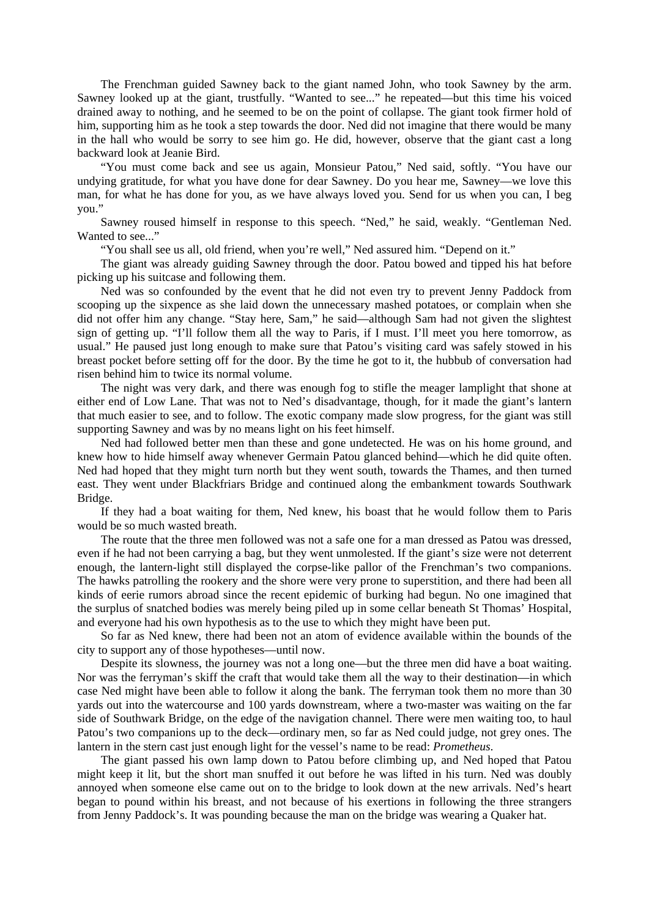The Frenchman guided Sawney back to the giant named John, who took Sawney by the arm. Sawney looked up at the giant, trustfully. "Wanted to see..." he repeated—but this time his voiced drained away to nothing, and he seemed to be on the point of collapse. The giant took firmer hold of him, supporting him as he took a step towards the door. Ned did not imagine that there would be many in the hall who would be sorry to see him go. He did, however, observe that the giant cast a long backward look at Jeanie Bird.

"You must come back and see us again, Monsieur Patou," Ned said, softly. "You have our undying gratitude, for what you have done for dear Sawney. Do you hear me, Sawney—we love this man, for what he has done for you, as we have always loved you. Send for us when you can, I beg you."

Sawney roused himself in response to this speech. "Ned," he said, weakly. "Gentleman Ned. Wanted to see..."

"You shall see us all, old friend, when you're well," Ned assured him. "Depend on it."

The giant was already guiding Sawney through the door. Patou bowed and tipped his hat before picking up his suitcase and following them.

Ned was so confounded by the event that he did not even try to prevent Jenny Paddock from scooping up the sixpence as she laid down the unnecessary mashed potatoes, or complain when she did not offer him any change. "Stay here, Sam," he said—although Sam had not given the slightest sign of getting up. "I'll follow them all the way to Paris, if I must. I'll meet you here tomorrow, as usual." He paused just long enough to make sure that Patou's visiting card was safely stowed in his breast pocket before setting off for the door. By the time he got to it, the hubbub of conversation had risen behind him to twice its normal volume.

The night was very dark, and there was enough fog to stifle the meager lamplight that shone at either end of Low Lane. That was not to Ned's disadvantage, though, for it made the giant's lantern that much easier to see, and to follow. The exotic company made slow progress, for the giant was still supporting Sawney and was by no means light on his feet himself.

Ned had followed better men than these and gone undetected. He was on his home ground, and knew how to hide himself away whenever Germain Patou glanced behind—which he did quite often. Ned had hoped that they might turn north but they went south, towards the Thames, and then turned east. They went under Blackfriars Bridge and continued along the embankment towards Southwark Bridge.

If they had a boat waiting for them, Ned knew, his boast that he would follow them to Paris would be so much wasted breath.

The route that the three men followed was not a safe one for a man dressed as Patou was dressed, even if he had not been carrying a bag, but they went unmolested. If the giant's size were not deterrent enough, the lantern-light still displayed the corpse-like pallor of the Frenchman's two companions. The hawks patrolling the rookery and the shore were very prone to superstition, and there had been all kinds of eerie rumors abroad since the recent epidemic of burking had begun. No one imagined that the surplus of snatched bodies was merely being piled up in some cellar beneath St Thomas' Hospital, and everyone had his own hypothesis as to the use to which they might have been put.

So far as Ned knew, there had been not an atom of evidence available within the bounds of the city to support any of those hypotheses—until now.

Despite its slowness, the journey was not a long one—but the three men did have a boat waiting. Nor was the ferryman's skiff the craft that would take them all the way to their destination—in which case Ned might have been able to follow it along the bank. The ferryman took them no more than 30 yards out into the watercourse and 100 yards downstream, where a two-master was waiting on the far side of Southwark Bridge, on the edge of the navigation channel. There were men waiting too, to haul Patou's two companions up to the deck—ordinary men, so far as Ned could judge, not grey ones. The lantern in the stern cast just enough light for the vessel's name to be read: *Prometheus*.

The giant passed his own lamp down to Patou before climbing up, and Ned hoped that Patou might keep it lit, but the short man snuffed it out before he was lifted in his turn. Ned was doubly annoyed when someone else came out on to the bridge to look down at the new arrivals. Ned's heart began to pound within his breast, and not because of his exertions in following the three strangers from Jenny Paddock's. It was pounding because the man on the bridge was wearing a Quaker hat.